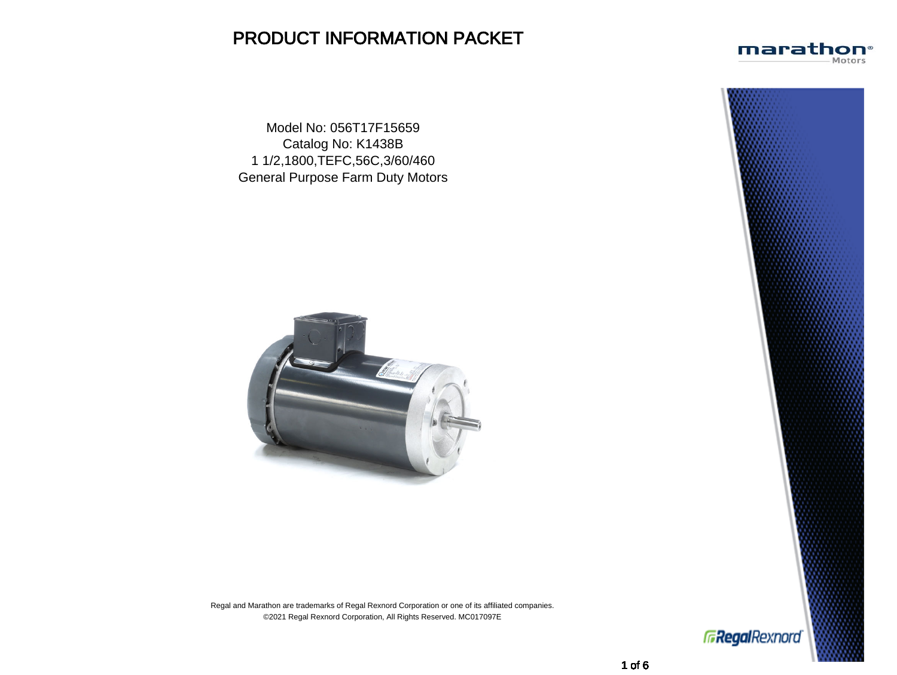# PRODUCT INFORMATION PACKET

Model No: 056T17F15659 Catalog No: K1438B 1 1/2,1800,TEFC,56C,3/60/460 General Purpose Farm Duty Motors



Regal and Marathon are trademarks of Regal Rexnord Corporation or one of its affiliated companies. ©2021 Regal Rexnord Corporation, All Rights Reserved. MC017097E





**GRegalRexnord**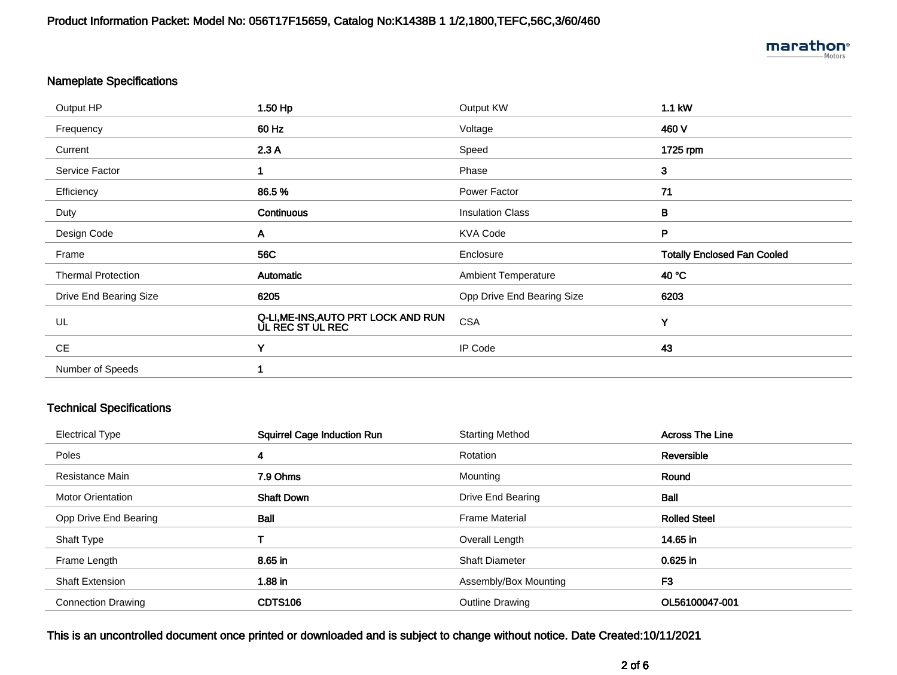## Nameplate Specifications

| Output HP                 | 1.50 Hp                                                 | Output KW                  | 1.1 kW                             |
|---------------------------|---------------------------------------------------------|----------------------------|------------------------------------|
| Frequency                 | 60 Hz                                                   | Voltage                    | 460 V                              |
| Current                   | 2.3A                                                    | Speed                      | 1725 rpm                           |
| Service Factor            |                                                         | Phase                      | $\mathbf{3}$                       |
| Efficiency                | 86.5%                                                   | Power Factor               | 71                                 |
| Duty                      | Continuous                                              | <b>Insulation Class</b>    | B                                  |
| Design Code               | A                                                       | <b>KVA Code</b>            | P                                  |
|                           |                                                         |                            |                                    |
| Frame                     | <b>56C</b>                                              | Enclosure                  | <b>Totally Enclosed Fan Cooled</b> |
| <b>Thermal Protection</b> | Automatic                                               | <b>Ambient Temperature</b> | 40 °C                              |
| Drive End Bearing Size    | 6205                                                    | Opp Drive End Bearing Size | 6203                               |
| UL                        | Q-LI, ME-INS, AUTO PRT LOCK AND RUN<br>UL REC ST UL REC | <b>CSA</b>                 | Y                                  |
| <b>CE</b>                 | Y                                                       | IP Code                    | 43                                 |
| Number of Speeds          |                                                         |                            |                                    |

## Technical Specifications

| <b>Electrical Type</b>    | <b>Squirrel Cage Induction Run</b> | <b>Starting Method</b> | <b>Across The Line</b> |
|---------------------------|------------------------------------|------------------------|------------------------|
| Poles                     | 4                                  | Rotation               | Reversible             |
| Resistance Main           | 7.9 Ohms                           | Mounting               | Round                  |
| <b>Motor Orientation</b>  | <b>Shaft Down</b>                  | Drive End Bearing      | Ball                   |
| Opp Drive End Bearing     | <b>Ball</b>                        | <b>Frame Material</b>  | <b>Rolled Steel</b>    |
| Shaft Type                |                                    | Overall Length         | 14.65 in               |
| Frame Length              | 8.65 in                            | <b>Shaft Diameter</b>  | 0.625 in               |
| <b>Shaft Extension</b>    | $1.88$ in                          | Assembly/Box Mounting  | F <sub>3</sub>         |
| <b>Connection Drawing</b> | CDTS106                            | <b>Outline Drawing</b> | OL56100047-001         |
|                           |                                    |                        |                        |

This is an uncontrolled document once printed or downloaded and is subject to change without notice. Date Created:10/11/2021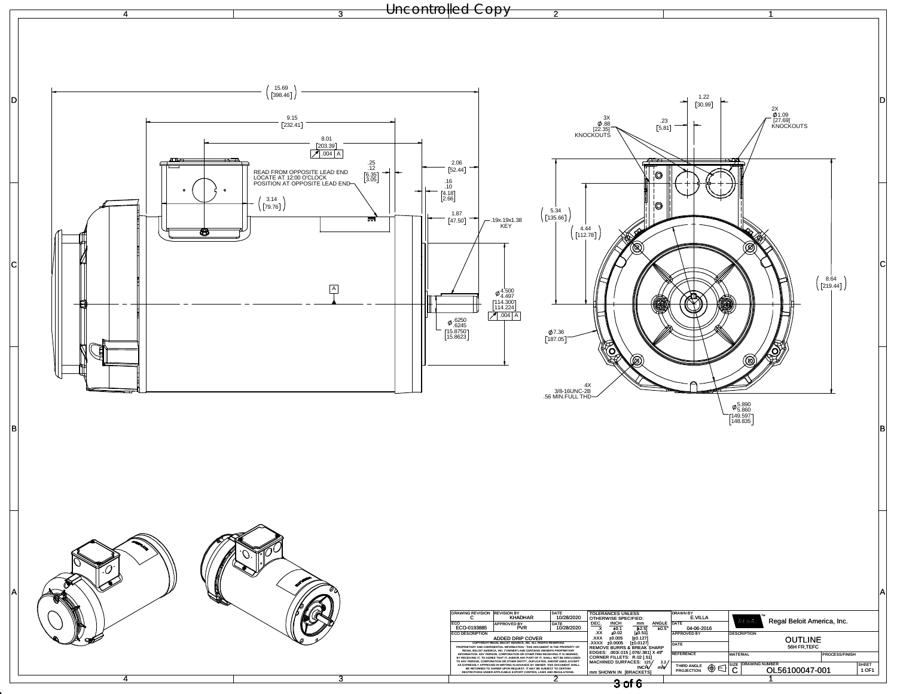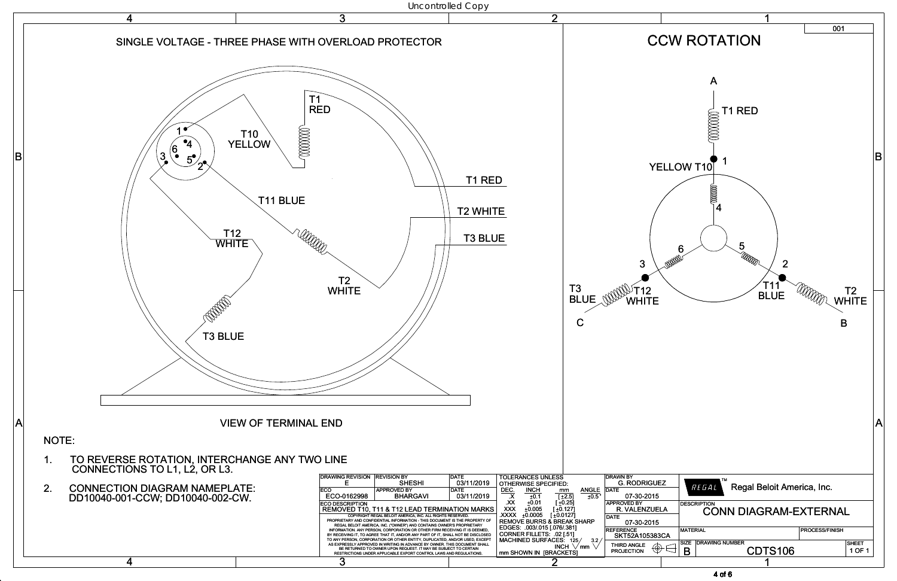

4 of 6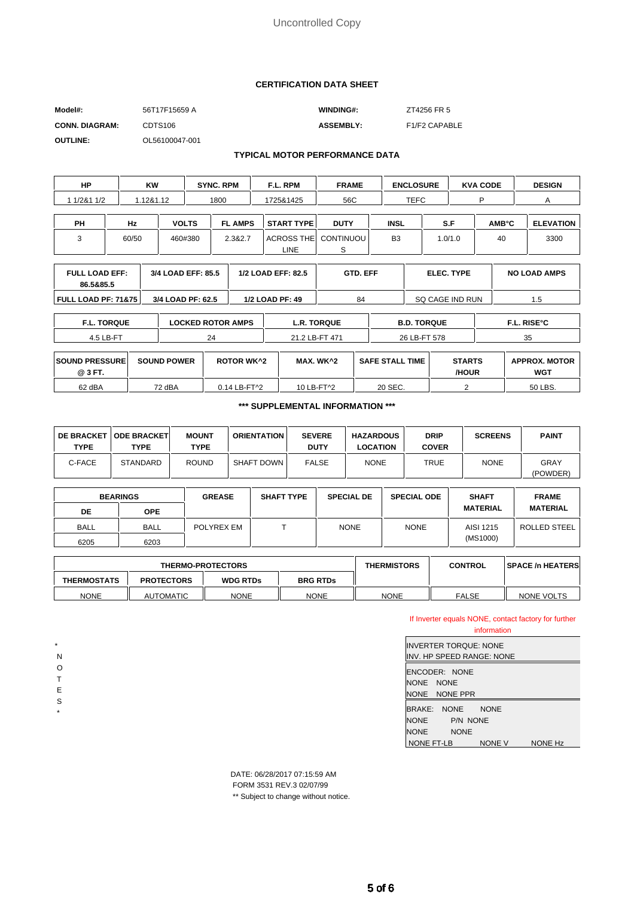#### **CERTIFICATION DATA SHEET**

| Model#:               | 56T17F15659 A       | <b>WINDING#:</b> | ZT4256 FR 5   |
|-----------------------|---------------------|------------------|---------------|
| <b>CONN. DIAGRAM:</b> | CDTS <sub>106</sub> | <b>ASSEMBLY:</b> | F1/F2 CAPABLE |
| <b>OUTLINE:</b>       | OL56100047-001      |                  |               |

#### **TYPICAL MOTOR PERFORMANCE DATA**

| <b>HP</b>                          |       | KW        | <b>SYNC, RPM</b>   |                | F.L. RPM                  | <b>FRAME</b>          |                | <b>ENCLOSURE</b> | <b>KVA CODE</b>   |                           | <b>DESIGN</b>       |
|------------------------------------|-------|-----------|--------------------|----------------|---------------------------|-----------------------|----------------|------------------|-------------------|---------------------------|---------------------|
| 1/2&1 1/2                          |       | 1.12&1.12 | 1800               |                | 1725&1425                 | 56C                   |                | <b>TEFC</b>      | P                 |                           | А                   |
| <b>PH</b>                          | Hz    |           | <b>VOLTS</b>       | <b>FL AMPS</b> | <b>START TYPE</b>         | <b>DUTY</b>           | <b>INSL</b>    |                  | S.F               | <b>AMB</b> <sup>°</sup> C | <b>ELEVATION</b>    |
| 3                                  | 60/50 |           | 460#380            | 2.3&2.7        | <b>ACROSS THE</b><br>LINE | <b>CONTINUOU</b><br>S | B <sub>3</sub> |                  | 1.0/1.0           | 40                        | 3300                |
|                                    |       |           |                    |                |                           |                       |                |                  |                   |                           |                     |
| <b>FULL LOAD EFF:</b><br>86.5&85.5 |       |           | 3/4 LOAD EFF: 85.5 |                | 1/2 LOAD EFF: 82.5        | <b>GTD. EFF</b>       |                |                  | <b>ELEC. TYPE</b> |                           | <b>NO LOAD AMPS</b> |
| <b>FULL LOAD PF: 71&amp;75</b>     |       |           | 3/4 LOAD PF: 62.5  |                | 1/2 LOAD PF: 49           | 84                    |                |                  | SQ CAGE IND RUN   |                           | 1.5                 |

| <b>TORQUE</b><br>∽.∟. | <b>LOCKED ROTOR AMPS</b> | <b>TORQUE</b><br>L.R.      | <b>B.D. TORQUE</b> | . RISE°C |
|-----------------------|--------------------------|----------------------------|--------------------|----------|
| 4.5 LB-FT             | $\sim$                   | $\epsilon$ i R-FT.<br>۰ 47 | 26 LB-FT 578       | 25<br>ິ  |

| <b>SOUND PRESSURE</b><br>@ 3 FT. | <b>SOUND POWER</b> | <b>ROTOR WK^2</b> | MAX. WK^2  | . TIME<br><b>SAFE STALL</b> | <b>STARTS</b><br>/HOUR | <b>APPROX. MOTOR</b><br><b>WGT</b> |
|----------------------------------|--------------------|-------------------|------------|-----------------------------|------------------------|------------------------------------|
| 62 dBA                           | 72 dBA             | 0.14 LB-FT^2      | 10 LB-FT^2 | 20 SEC.                     |                        | 50 LBS.                            |

**\*\*\* SUPPLEMENTAL INFORMATION \*\*\***

| <b>DE BRACKET  </b><br><b>TYPE</b> | <b>ODE BRACKET</b><br>TYPE | <b>MOUNT</b><br>TYPE | <b>ORIENTATION</b> | <b>SEVERE</b><br><b>DUTY</b> | <b>HAZARDOUS</b><br>LOCATION | <b>DRIP</b><br><b>COVER</b> | <b>SCREENS</b> | <b>PAINT</b>     |
|------------------------------------|----------------------------|----------------------|--------------------|------------------------------|------------------------------|-----------------------------|----------------|------------------|
| C-FACE                             | <b>STANDARD</b>            | <b>ROUND</b>         | SHAFT DOWN         | <b>FALSE</b>                 | <b>NONE</b>                  | TRUE                        | <b>NONE</b>    | GRAY<br>(POWDER) |

| <b>BEARINGS</b> |             | <b>GREASE</b> | <b>SHAFT TYPE</b> | <b>SPECIAL DE</b> | <b>SPECIAL ODE</b> | <b>SHAFT</b>    | <b>FRAME</b>    |
|-----------------|-------------|---------------|-------------------|-------------------|--------------------|-----------------|-----------------|
| DE              | <b>OPE</b>  |               |                   |                   |                    | <b>MATERIAL</b> | <b>MATERIAL</b> |
| <b>BALL</b>     | <b>BALL</b> | POLYREX EM    |                   | <b>NONE</b>       | <b>NONE</b>        | AISI 1215       | ROLLED STEEL    |
| 6205            | 6203        |               |                   |                   |                    | (MS1000)        |                 |

| <b>THERMO-PROTECTORS</b> |                   |                 | <b>THERMISTORS</b> | <b>CONTROL</b> | <b>SPACE /n HEATERS</b> |            |
|--------------------------|-------------------|-----------------|--------------------|----------------|-------------------------|------------|
| <b>THERMOSTATS</b>       | <b>PROTECTORS</b> | <b>WDG RTDs</b> | <b>BRG RTDs</b>    |                |                         |            |
| <b>NONE</b>              | <b>AUTOMATIC</b>  | <b>NONE</b>     | <b>NONE</b>        | <b>NONE</b>    | <b>FALSE</b>            | NONE VOLTS |

#### If Inverter equals NONE, contact factory for further information

| IINVERTER TOROUE: NONE         |               |                |  |  |  |  |
|--------------------------------|---------------|----------------|--|--|--|--|
| IINV. HP SPEED RANGE: NONE     |               |                |  |  |  |  |
| ENCONER: NONF                  |               |                |  |  |  |  |
| NONE NONE                      |               |                |  |  |  |  |
| NONE NONE PPR                  |               |                |  |  |  |  |
| <b>BRAKE:</b><br><b>NONE</b>   | <b>NONF</b>   |                |  |  |  |  |
| <b>NONE</b><br><b>P/N NONE</b> |               |                |  |  |  |  |
| <b>NONE</b><br><b>NONE</b>     |               |                |  |  |  |  |
| NONE FT-LB                     | <b>NONE V</b> | <b>NONE Hz</b> |  |  |  |  |

DATE: 06/28/2017 07:15:59 AM FORM 3531 REV.3 02/07/99

\* N O T E S \*

\*\* Subject to change without notice.